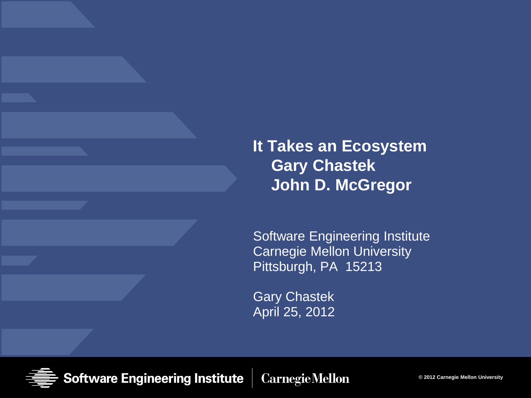#### **It Takes an Ecosystem Gary Chastek John D. McGregor**

Software Engineering Institute Carnegie Mellon University Pittsburgh, PA 15213

Gary Chastek April 25, 2012

**Software Engineering Institute Carnegie Mellon** 

**© 2012 Carnegie Mellon University**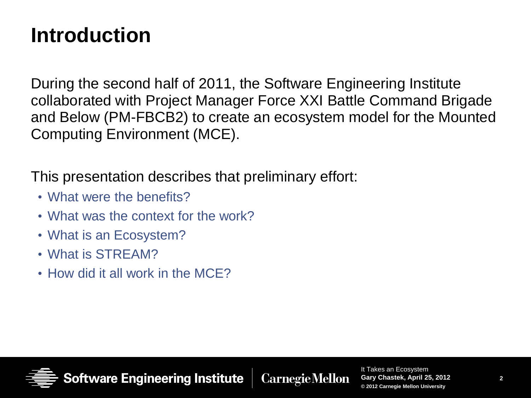#### **Introduction**

During the second half of 2011, the Software Engineering Institute collaborated with Project Manager Force XXI Battle Command Brigade and Below (PM-FBCB2) to create an ecosystem model for the Mounted Computing Environment (MCE).

This presentation describes that preliminary effort:

- What were the benefits?
- What was the context for the work?
- What is an Ecosystem?
- What is STREAM?
- How did it all work in the MCE?

Software Engineering Institute

**Carnegie Mellon**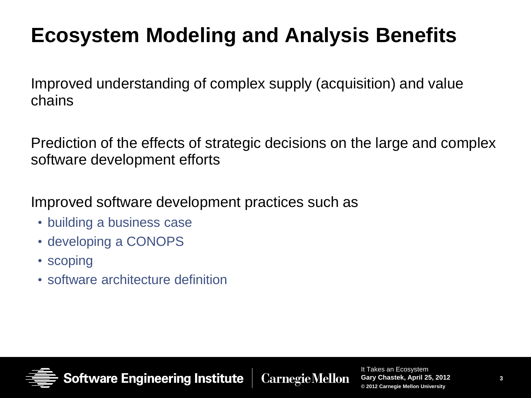# **Ecosystem Modeling and Analysis Benefits**

Improved understanding of complex supply (acquisition) and value chains

Prediction of the effects of strategic decisions on the large and complex software development efforts

Improved software development practices such as

- building a business case
- developing a CONOPS
- scoping
- software architecture definition

**Software Engineering Institute** 

**Carnegie Mellon**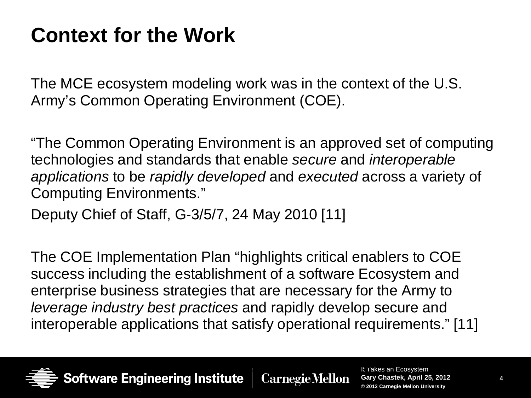### **Context for the Work**

The MCE ecosystem modeling work was in the context of the U.S. Army's Common Operating Environment (COE).

"The Common Operating Environment is an approved set of computing technologies and standards that enable *secure* and *interoperable applications* to be *rapidly developed* and *executed* across a variety of Computing Environments."

Deputy Chief of Staff, G-3/5/7, 24 May 2010 [11]

The COE Implementation Plan "highlights critical enablers to COE success including the establishment of a software Ecosystem and enterprise business strategies that are necessary for the Army to *leverage industry best practices* and rapidly develop secure and interoperable applications that satisfy operational requirements." [11]

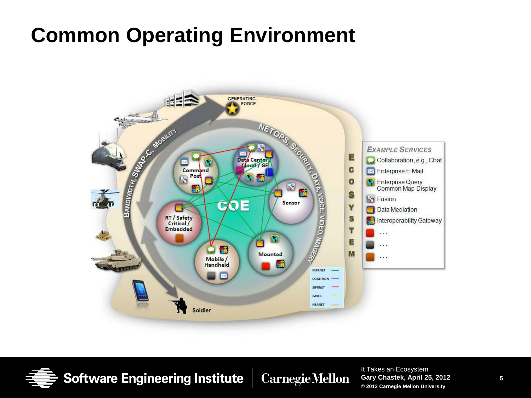#### **Common Operating Environment**



**Software Engineering Institute CarnegieMellon**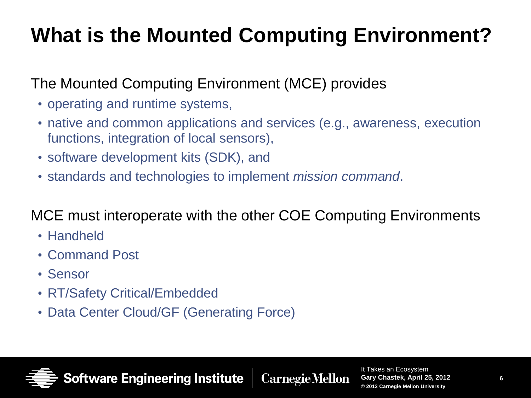# **What is the Mounted Computing Environment?**

#### The Mounted Computing Environment (MCE) provides

- operating and runtime systems,
- native and common applications and services (e.g., awareness, execution functions, integration of local sensors),
- software development kits (SDK), and
- standards and technologies to implement *mission command*.

#### MCE must interoperate with the other COE Computing Environments

**Carnegie Mellon** 

- Handheld
- Command Post
- Sensor
- RT/Safety Critical/Embedded
- Data Center Cloud/GF (Generating Force)

**Software Engineering Institute**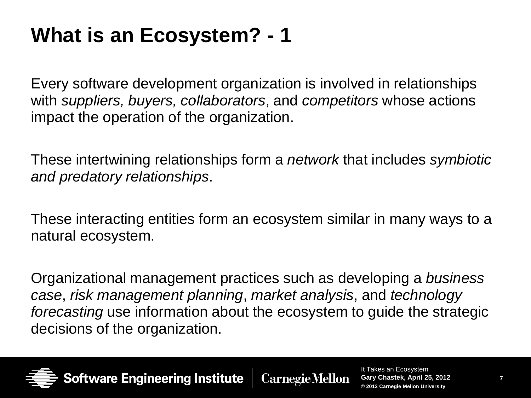# **What is an Ecosystem? - 1**

Every software development organization is involved in relationships with *suppliers, buyers, collaborators*, and *competitors* whose actions impact the operation of the organization.

These intertwining relationships form a *network* that includes *symbiotic and predatory relationships*.

These interacting entities form an ecosystem similar in many ways to a natural ecosystem.

Organizational management practices such as developing a *business case*, *risk management planning*, *market analysis*, and *technology forecasting* use information about the ecosystem to guide the strategic decisions of the organization.



ftware Engineering Institute **CarnegieMellon**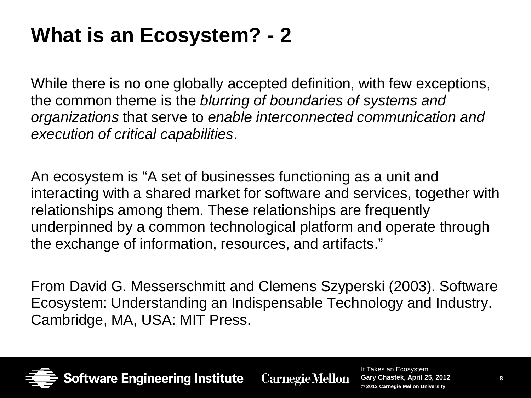### **What is an Ecosystem? - 2**

While there is no one globally accepted definition, with few exceptions, the common theme is the *blurring of boundaries of systems and organizations* that serve to *enable interconnected communication and execution of critical capabilities*.

An ecosystem is "A set of businesses functioning as a unit and interacting with a shared market for software and services, together with relationships among them. These relationships are frequently underpinned by a common technological platform and operate through the exchange of information, resources, and artifacts."

From David G. Messerschmitt and Clemens Szyperski (2003). Software Ecosystem: Understanding an Indispensable Technology and Industry. Cambridge, MA, USA: MIT Press.



**ftware Engineering Institute CarnegieMellon**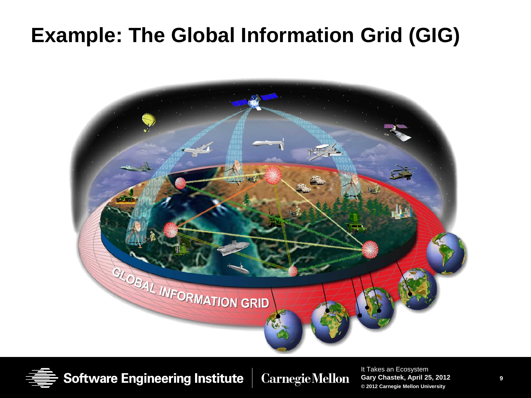#### **Example: The Global Information Grid (GIG)**



**Software Engineering Institute** 

**CarnegieMellon**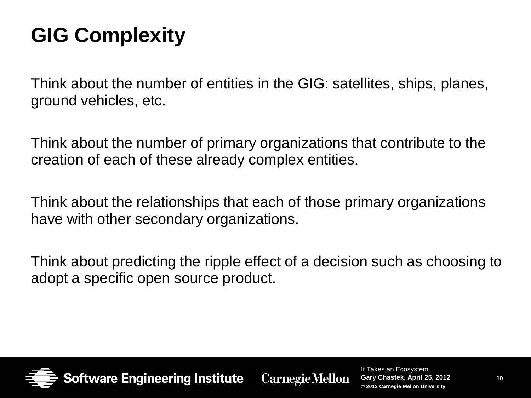# **GIG Complexity**

Think about the number of entities in the GIG: satellites, ships, planes, ground vehicles, etc.

Think about the number of primary organizations that contribute to the creation of each of these already complex entities.

Think about the relationships that each of those primary organizations have with other secondary organizations.

Think about predicting the ripple effect of a decision such as choosing to adopt a specific open source product.



Software Engineering Institute **Carnegie Mellon**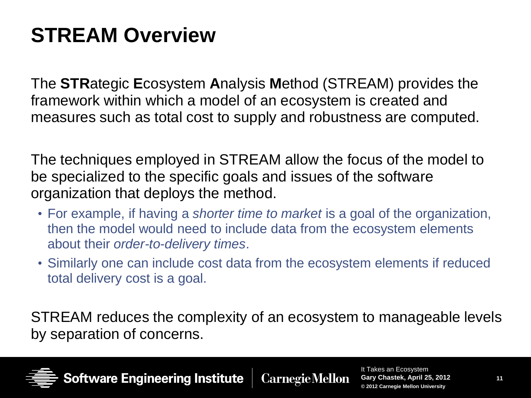# **STREAM Overview**

The **STR**ategic **E**cosystem **A**nalysis **M**ethod (STREAM) provides the framework within which a model of an ecosystem is created and measures such as total cost to supply and robustness are computed.

The techniques employed in STREAM allow the focus of the model to be specialized to the specific goals and issues of the software organization that deploys the method.

- For example, if having a *shorter time to market* is a goal of the organization, then the model would need to include data from the ecosystem elements about their *order-to-delivery times*.
- Similarly one can include cost data from the ecosystem elements if reduced total delivery cost is a goal.

STREAM reduces the complexity of an ecosystem to manageable levels by separation of concerns.

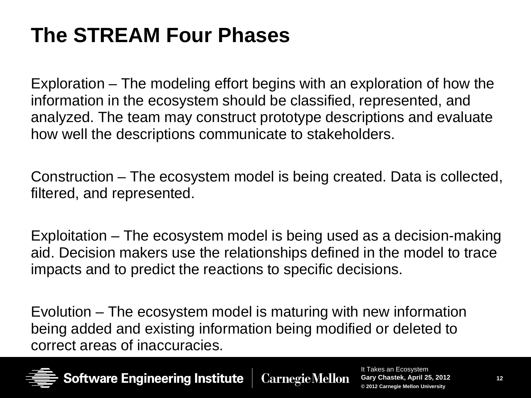# **The STREAM Four Phases**

Exploration – The modeling effort begins with an exploration of how the information in the ecosystem should be classified, represented, and analyzed. The team may construct prototype descriptions and evaluate how well the descriptions communicate to stakeholders.

Construction – The ecosystem model is being created. Data is collected, filtered, and represented.

Exploitation – The ecosystem model is being used as a decision-making aid. Decision makers use the relationships defined in the model to trace impacts and to predict the reactions to specific decisions.

Evolution – The ecosystem model is maturing with new information being added and existing information being modified or deleted to correct areas of inaccuracies.



Software Engineering Institute **CarnegieMellon**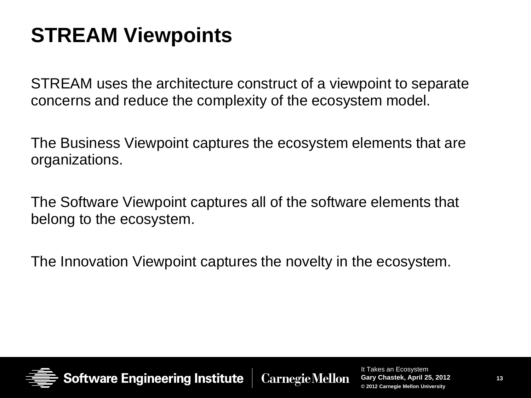### **STREAM Viewpoints**

STREAM uses the architecture construct of a viewpoint to separate concerns and reduce the complexity of the ecosystem model.

The Business Viewpoint captures the ecosystem elements that are organizations.

The Software Viewpoint captures all of the software elements that belong to the ecosystem.

The Innovation Viewpoint captures the novelty in the ecosystem.



**Software Engineering Institute Carnegie Mellon**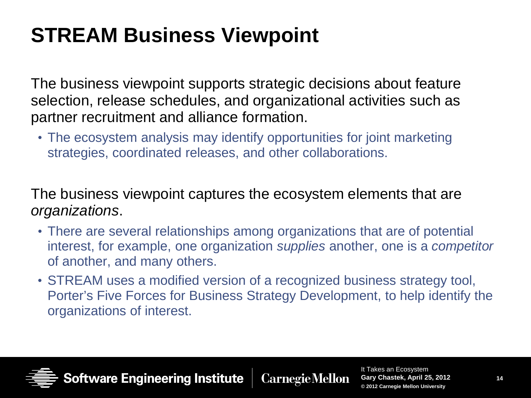# **STREAM Business Viewpoint**

The business viewpoint supports strategic decisions about feature selection, release schedules, and organizational activities such as partner recruitment and alliance formation.

• The ecosystem analysis may identify opportunities for joint marketing strategies, coordinated releases, and other collaborations.

The business viewpoint captures the ecosystem elements that are *organizations*.

- There are several relationships among organizations that are of potential interest, for example, one organization *supplies* another, one is a *competitor* of another, and many others.
- STREAM uses a modified version of a recognized business strategy tool, Porter's Five Forces for Business Strategy Development, to help identify the organizations of interest.

Software Engineering Institute **Carnegie Mellon**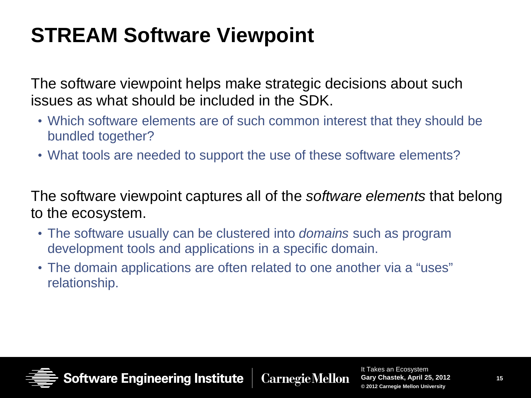## **STREAM Software Viewpoint**

The software viewpoint helps make strategic decisions about such issues as what should be included in the SDK.

- Which software elements are of such common interest that they should be bundled together?
- What tools are needed to support the use of these software elements?

The software viewpoint captures all of the *software elements* that belong to the ecosystem.

- The software usually can be clustered into *domains* such as program development tools and applications in a specific domain.
- The domain applications are often related to one another via a "uses" relationship.



**Software Engineering Institute Carnegie Mellon**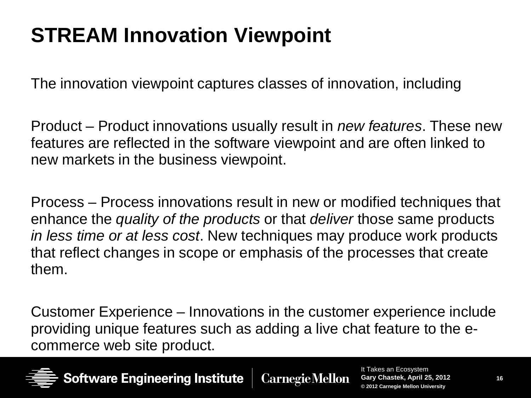# **STREAM Innovation Viewpoint**

The innovation viewpoint captures classes of innovation, including

Product – Product innovations usually result in *new features*. These new features are reflected in the software viewpoint and are often linked to new markets in the business viewpoint.

Process – Process innovations result in new or modified techniques that enhance the *quality of the products* or that *deliver* those same products *in less time or at less cost*. New techniques may produce work products that reflect changes in scope or emphasis of the processes that create them.

Customer Experience – Innovations in the customer experience include providing unique features such as adding a live chat feature to the ecommerce web site product.



Software Engineering Institute **Carnegie Mellon**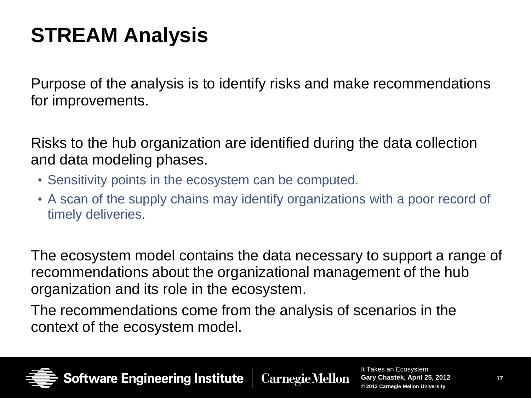# **STREAM Analysis**

Purpose of the analysis is to identify risks and make recommendations for improvements.

Risks to the hub organization are identified during the data collection and data modeling phases.

- Sensitivity points in the ecosystem can be computed.
- A scan of the supply chains may identify organizations with a poor record of timely deliveries.

The ecosystem model contains the data necessary to support a range of recommendations about the organizational management of the hub organization and its role in the ecosystem.

The recommendations come from the analysis of scenarios in the context of the ecosystem model.

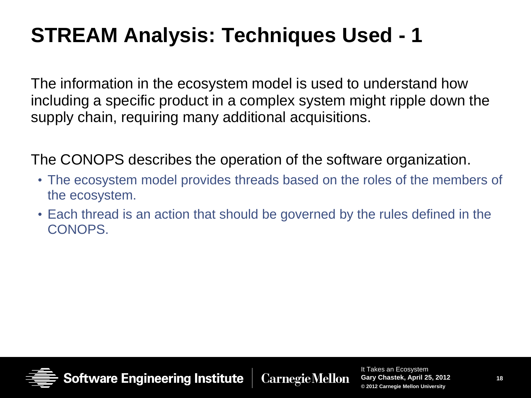# **STREAM Analysis: Techniques Used - 1**

The information in the ecosystem model is used to understand how including a specific product in a complex system might ripple down the supply chain, requiring many additional acquisitions.

The CONOPS describes the operation of the software organization.

- The ecosystem model provides threads based on the roles of the members of the ecosystem.
- Each thread is an action that should be governed by the rules defined in the CONOPS.



Software Engineering Institute **Carnegie Mellon**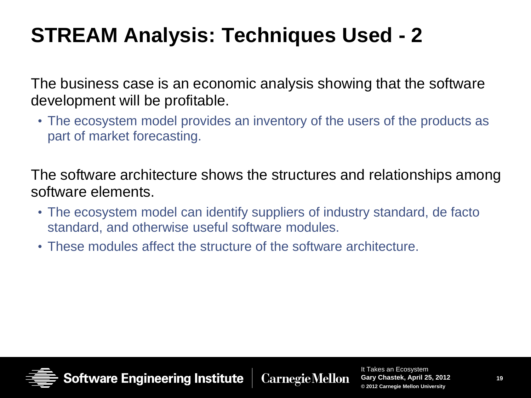# **STREAM Analysis: Techniques Used - 2**

The business case is an economic analysis showing that the software development will be profitable.

• The ecosystem model provides an inventory of the users of the products as part of market forecasting.

The software architecture shows the structures and relationships among software elements.

- The ecosystem model can identify suppliers of industry standard, de facto standard, and otherwise useful software modules.
- These modules affect the structure of the software architecture.



**Software Engineering Institute Carnegie Mellon**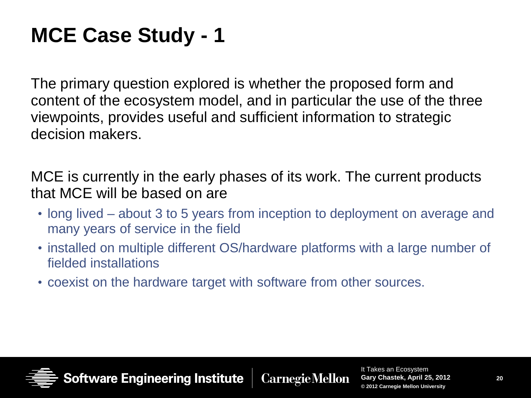### **MCE Case Study - 1**

The primary question explored is whether the proposed form and content of the ecosystem model, and in particular the use of the three viewpoints, provides useful and sufficient information to strategic decision makers.

MCE is currently in the early phases of its work. The current products that MCE will be based on are

- long lived about 3 to 5 years from inception to deployment on average and many years of service in the field
- installed on multiple different OS/hardware platforms with a large number of fielded installations
- coexist on the hardware target with software from other sources.

Software Engineering Institute **Carnegie Mellon**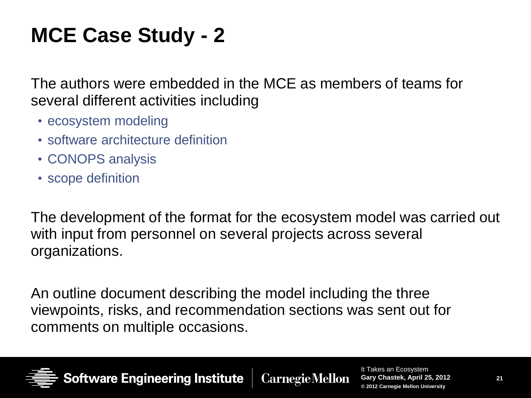# **MCE Case Study - 2**

The authors were embedded in the MCE as members of teams for several different activities including

- ecosystem modeling
- software architecture definition
- CONOPS analysis
- scope definition

The development of the format for the ecosystem model was carried out with input from personnel on several projects across several organizations.

An outline document describing the model including the three viewpoints, risks, and recommendation sections was sent out for comments on multiple occasions.



**Software Engineering Institute Carnegie Mellon**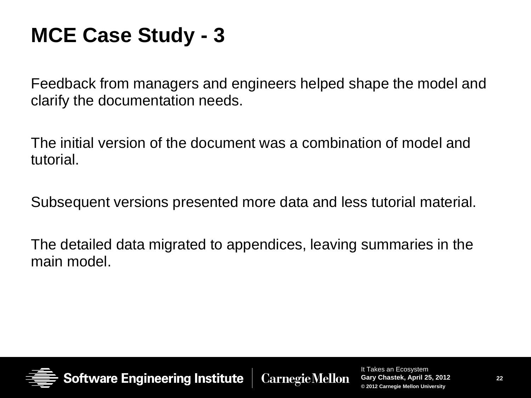#### **MCE Case Study - 3**

Feedback from managers and engineers helped shape the model and clarify the documentation needs.

The initial version of the document was a combination of model and tutorial.

Subsequent versions presented more data and less tutorial material.

The detailed data migrated to appendices, leaving summaries in the main model.



**Software Engineering Institute CarnegieMellon**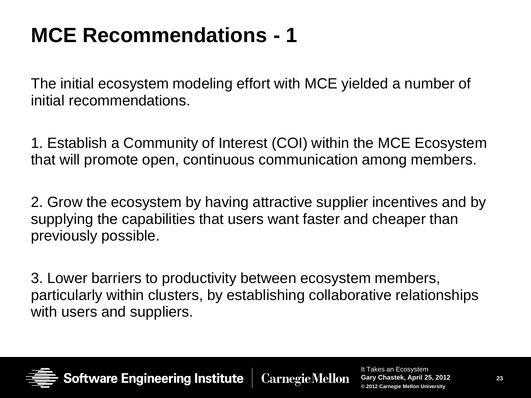### **MCE Recommendations - 1**

The initial ecosystem modeling effort with MCE yielded a number of initial recommendations.

1. Establish a Community of Interest (COI) within the MCE Ecosystem that will promote open, continuous communication among members.

2. Grow the ecosystem by having attractive supplier incentives and by supplying the capabilities that users want faster and cheaper than previously possible.

3. Lower barriers to productivity between ecosystem members, particularly within clusters, by establishing collaborative relationships with users and suppliers.

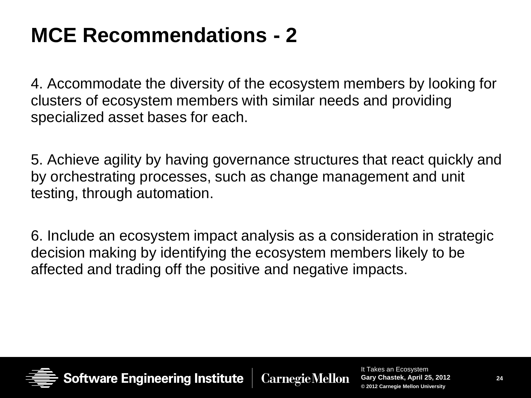#### **MCE Recommendations - 2**

4. Accommodate the diversity of the ecosystem members by looking for clusters of ecosystem members with similar needs and providing specialized asset bases for each.

5. Achieve agility by having governance structures that react quickly and by orchestrating processes, such as change management and unit testing, through automation.

6. Include an ecosystem impact analysis as a consideration in strategic decision making by identifying the ecosystem members likely to be affected and trading off the positive and negative impacts.



**oftware Engineering Institute CarnegieMellon**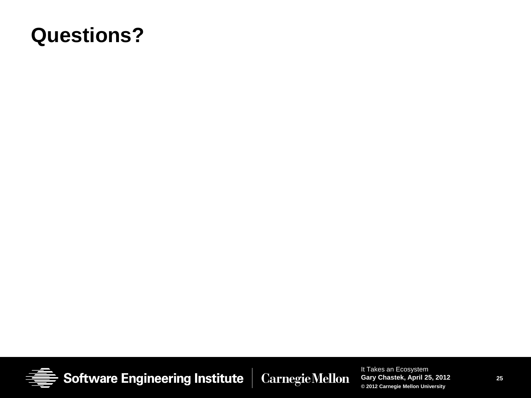#### **Questions?**

**Software Engineering Institute Carnegie Mellon**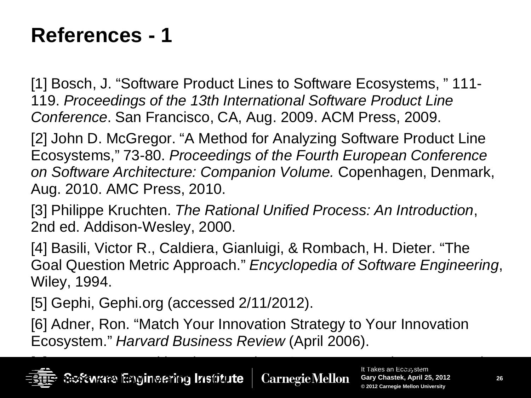#### **References - 1**

[1] Bosch, J. "Software Product Lines to Software Ecosystems, " 111- 119. *Proceedings of the 13th International Software Product Line Conference*. San Francisco, CA, Aug. 2009. ACM Press, 2009.

[2] John D. McGregor. "A Method for Analyzing Software Product Line Ecosystems," 73-80. *Proceedings of the Fourth European Conference on Software Architecture: Companion Volume.* Copenhagen, Denmark, Aug. 2010. AMC Press, 2010.

[3] Philippe Kruchten. *The Rational Unified Process: An Introduction*, 2nd ed. Addison-Wesley, 2000.

[4] Basili, Victor R., Caldiera, Gianluigi, & Rombach, H. Dieter. "The Goal Question Metric Approach." *Encyclopedia of Software Engineering*, Wiley, 1994.

[5] Gephi, Gephi.org (accessed 2/11/2012).

[6] Adner, Ron. "Match Your Innovation Strategy to Your Innovation Ecosystem." *Harvard Business Review* (April 2006).

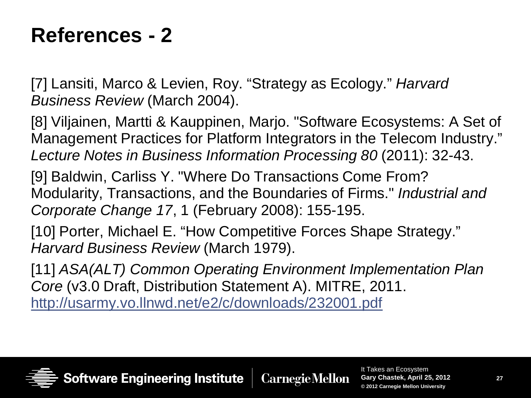#### **References - 2**

[7] Lansiti, Marco & Levien, Roy. "Strategy as Ecology." *Harvard Business Review* (March 2004).

[8] Viljainen, Martti & Kauppinen, Marjo. "Software Ecosystems: A Set of Management Practices for Platform Integrators in the Telecom Industry." *Lecture Notes in Business Information Processing 80* (2011): 32-43.

[9] Baldwin, Carliss Y. "Where Do Transactions Come From? Modularity, Transactions, and the Boundaries of Firms." *Industrial and Corporate Change 17*, 1 (February 2008): 155-195.

[10] Porter, Michael E. "How Competitive Forces Shape Strategy." *Harvard Business Review* (March 1979).

[11] *ASA(ALT) Common Operating Environment Implementation Plan Core* (v3.0 Draft, Distribution Statement A). MITRE, 2011. <http://usarmy.vo.llnwd.net/e2/c/downloads/232001.pdf>

Software Engineering Institute **Carnegie Mellon**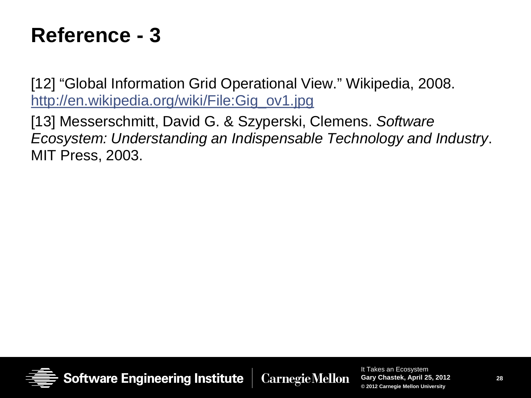#### **Reference - 3**

[12] "Global Information Grid Operational View." Wikipedia, 2008. [http://en.wikipedia.org/wiki/File:Gig\\_ov1.jpg](http://en.wikipedia.org/wiki/File:Gig_ov1.jpg)

[13] Messerschmitt, David G. & Szyperski, Clemens. *Software Ecosystem: Understanding an Indispensable Technology and Industry*. MIT Press, 2003.



**Carnegie Mellon**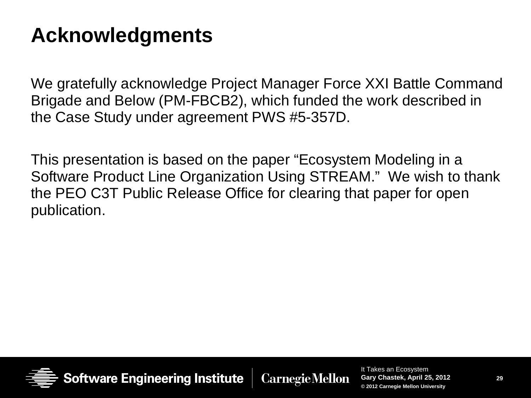#### **Acknowledgments**

We gratefully acknowledge Project Manager Force XXI Battle Command Brigade and Below (PM-FBCB2), which funded the work described in the Case Study under agreement PWS #5-357D.

This presentation is based on the paper "Ecosystem Modeling in a Software Product Line Organization Using STREAM." We wish to thank the PEO C3T Public Release Office for clearing that paper for open publication.



**CarnegieMellon**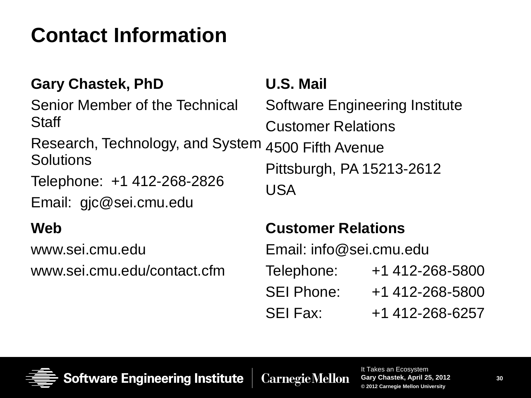# **Contact Information**

#### **Gary Chastek, PhD**

Senior Member of the Technical Staff

Research, Technology, and System Solutions

Telephone: +1 412-268-2826

Email: gjc@sei.cmu.edu

#### **Web**

www.sei.cmu.edu

www.sei.cmu.edu/contact.cfm

#### **U.S. Mail**

Software Engineering Institute Customer Relations 4500 Fifth Avenue Pittsburgh, PA 15213-2612 USA

#### **Customer Relations**

Email: info@sei.cmu.edu Telephone: +1 412-268-5800 SEI Phone: +1 412-268-5800 SEI Fax: +1 412-268-6257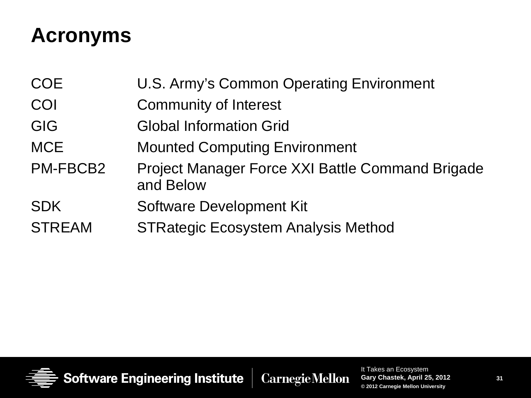# **Acronyms**

COE U.S. Army's Common Operating Environment COI Community of Interest GIG Global Information Grid MCE Mounted Computing Environment PM-FBCB2 Project Manager Force XXI Battle Command Brigade and Below SDK Software Development Kit STREAM STRategic Ecosystem Analysis Method